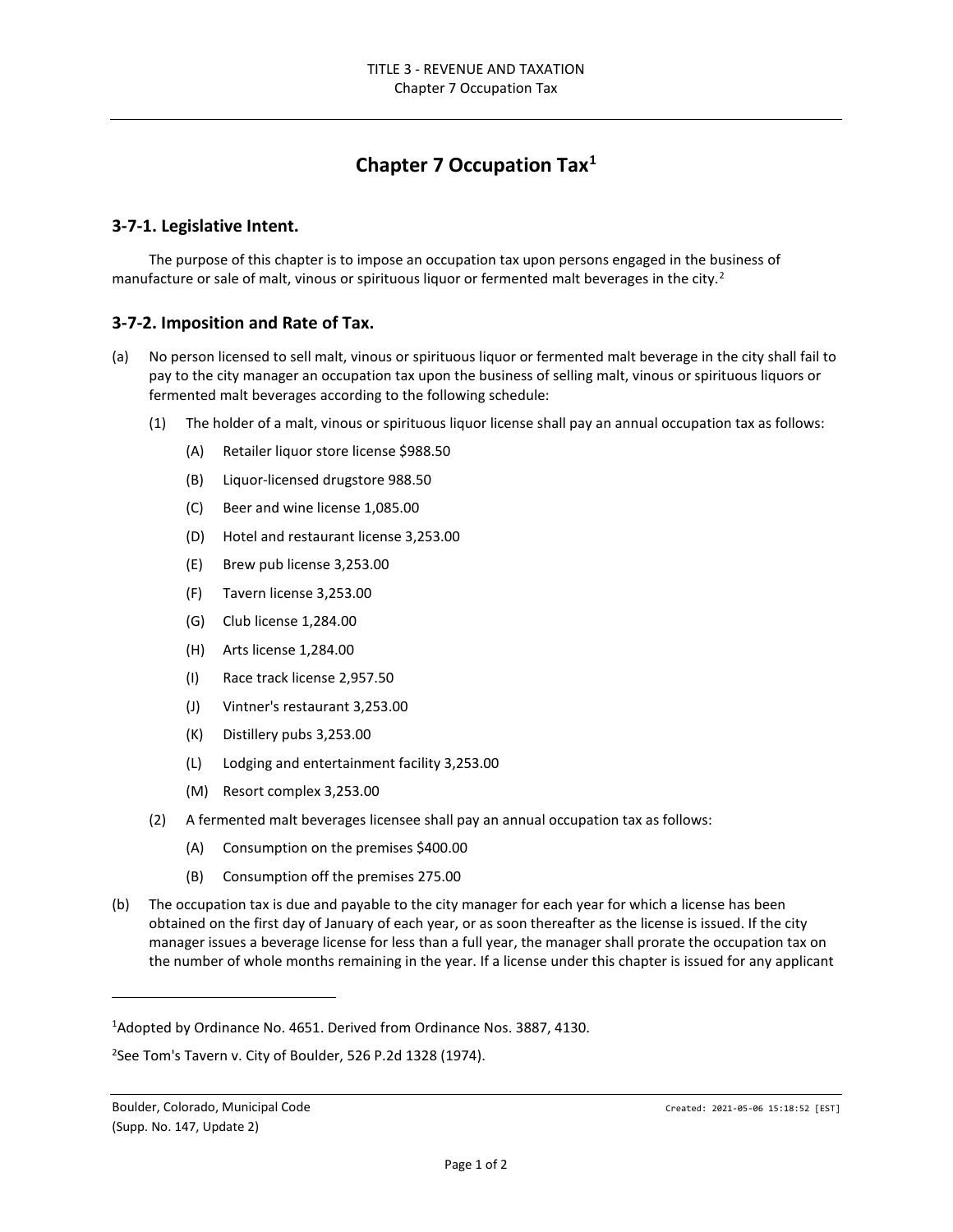## **Chapter 7 Occupation Tax[1](#page-0-0)**

## **3-7-1. Legislative Intent.**

The purpose of this chapter is to impose an occupation tax upon persons engaged in the business of manufacture or sale of malt, vinous or spirituous liquor or fermented malt beverages in the city.<sup>[2](#page-0-1)</sup>

## **3-7-2. Imposition and Rate of Tax.**

- (a) No person licensed to sell malt, vinous or spirituous liquor or fermented malt beverage in the city shall fail to pay to the city manager an occupation tax upon the business of selling malt, vinous or spirituous liquors or fermented malt beverages according to the following schedule:
	- (1) The holder of a malt, vinous or spirituous liquor license shall pay an annual occupation tax as follows:
		- (A) Retailer liquor store license \$988.50
		- (B) Liquor-licensed drugstore 988.50
		- (C) Beer and wine license 1,085.00
		- (D) Hotel and restaurant license 3,253.00
		- (E) Brew pub license 3,253.00
		- (F) Tavern license 3,253.00
		- (G) Club license 1,284.00
		- (H) Arts license 1,284.00
		- (I) Race track license 2,957.50
		- (J) Vintner's restaurant 3,253.00
		- (K) Distillery pubs 3,253.00
		- (L) Lodging and entertainment facility 3,253.00
		- (M) Resort complex 3,253.00
	- (2) A fermented malt beverages licensee shall pay an annual occupation tax as follows:
		- (A) Consumption on the premises \$400.00
		- (B) Consumption off the premises 275.00
- (b) The occupation tax is due and payable to the city manager for each year for which a license has been obtained on the first day of January of each year, or as soon thereafter as the license is issued. If the city manager issues a beverage license for less than a full year, the manager shall prorate the occupation tax on the number of whole months remaining in the year. If a license under this chapter is issued for any applicant

<span id="page-0-0"></span><sup>&</sup>lt;sup>1</sup>Adopted by Ordinance No. 4651. Derived from Ordinance Nos. 3887, 4130.

<span id="page-0-1"></span> $2$ See Tom's Tavern v. City of Boulder, 526 P.2d 1328 (1974).